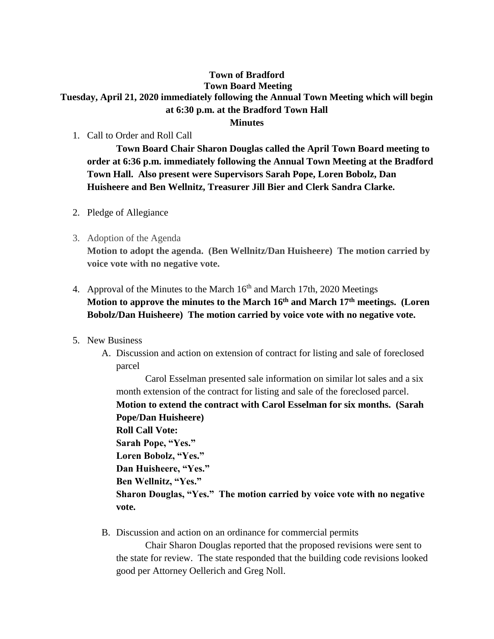## **Town of Bradford Town Board Meeting Tuesday, April 21, 2020 immediately following the Annual Town Meeting which will begin at 6:30 p.m. at the Bradford Town Hall Minutes**

1. Call to Order and Roll Call

**Town Board Chair Sharon Douglas called the April Town Board meeting to order at 6:36 p.m. immediately following the Annual Town Meeting at the Bradford Town Hall. Also present were Supervisors Sarah Pope, Loren Bobolz, Dan Huisheere and Ben Wellnitz, Treasurer Jill Bier and Clerk Sandra Clarke.**

- 2. Pledge of Allegiance
- 3. Adoption of the Agenda

**Motion to adopt the agenda. (Ben Wellnitz/Dan Huisheere) The motion carried by voice vote with no negative vote.**

- 4. Approval of the Minutes to the March  $16<sup>th</sup>$  and March 17th, 2020 Meetings **Motion to approve the minutes to the March 16th and March 17th meetings. (Loren Bobolz/Dan Huisheere) The motion carried by voice vote with no negative vote.**
- 5. New Business
	- A. Discussion and action on extension of contract for listing and sale of foreclosed parcel

Carol Esselman presented sale information on similar lot sales and a six month extension of the contract for listing and sale of the foreclosed parcel. **Motion to extend the contract with Carol Esselman for six months. (Sarah Pope/Dan Huisheere) Roll Call Vote: Sarah Pope, "Yes." Loren Bobolz, "Yes." Dan Huisheere, "Yes." Ben Wellnitz, "Yes." Sharon Douglas, "Yes." The motion carried by voice vote with no negative vote.**

B. Discussion and action on an ordinance for commercial permits

Chair Sharon Douglas reported that the proposed revisions were sent to the state for review. The state responded that the building code revisions looked good per Attorney Oellerich and Greg Noll.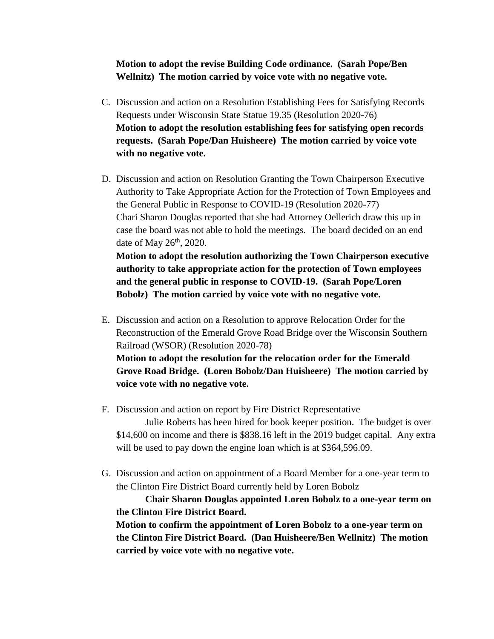## **Motion to adopt the revise Building Code ordinance. (Sarah Pope/Ben Wellnitz) The motion carried by voice vote with no negative vote.**

- C. Discussion and action on a Resolution Establishing Fees for Satisfying Records Requests under Wisconsin State Statue 19.35 (Resolution 2020-76) **Motion to adopt the resolution establishing fees for satisfying open records requests. (Sarah Pope/Dan Huisheere) The motion carried by voice vote with no negative vote.**
- D. Discussion and action on Resolution Granting the Town Chairperson Executive Authority to Take Appropriate Action for the Protection of Town Employees and the General Public in Response to COVID-19 (Resolution 2020-77) Chari Sharon Douglas reported that she had Attorney Oellerich draw this up in case the board was not able to hold the meetings. The board decided on an end date of May  $26<sup>th</sup>$ , 2020. **Motion to adopt the resolution authorizing the Town Chairperson executive**

**authority to take appropriate action for the protection of Town employees and the general public in response to COVID-19. (Sarah Pope/Loren Bobolz) The motion carried by voice vote with no negative vote.**

- E. Discussion and action on a Resolution to approve Relocation Order for the Reconstruction of the Emerald Grove Road Bridge over the Wisconsin Southern Railroad (WSOR) (Resolution 2020-78) **Motion to adopt the resolution for the relocation order for the Emerald Grove Road Bridge. (Loren Bobolz/Dan Huisheere) The motion carried by voice vote with no negative vote.**
- F. Discussion and action on report by Fire District Representative Julie Roberts has been hired for book keeper position. The budget is over \$14,600 on income and there is \$838.16 left in the 2019 budget capital. Any extra will be used to pay down the engine loan which is at \$364,596.09.
- G. Discussion and action on appointment of a Board Member for a one-year term to the Clinton Fire District Board currently held by Loren Bobolz

**Chair Sharon Douglas appointed Loren Bobolz to a one-year term on the Clinton Fire District Board.**

**Motion to confirm the appointment of Loren Bobolz to a one-year term on the Clinton Fire District Board. (Dan Huisheere/Ben Wellnitz) The motion carried by voice vote with no negative vote.**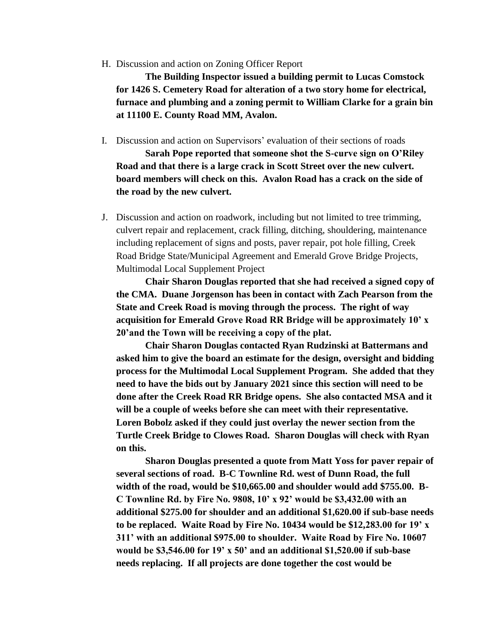H. Discussion and action on Zoning Officer Report

**The Building Inspector issued a building permit to Lucas Comstock for 1426 S. Cemetery Road for alteration of a two story home for electrical, furnace and plumbing and a zoning permit to William Clarke for a grain bin at 11100 E. County Road MM, Avalon.**

I. Discussion and action on Supervisors' evaluation of their sections of roads

**Sarah Pope reported that someone shot the S-curve sign on O'Riley Road and that there is a large crack in Scott Street over the new culvert. board members will check on this. Avalon Road has a crack on the side of the road by the new culvert.**

J. Discussion and action on roadwork, including but not limited to tree trimming, culvert repair and replacement, crack filling, ditching, shouldering, maintenance including replacement of signs and posts, paver repair, pot hole filling, Creek Road Bridge State/Municipal Agreement and Emerald Grove Bridge Projects, Multimodal Local Supplement Project

**Chair Sharon Douglas reported that she had received a signed copy of the CMA. Duane Jorgenson has been in contact with Zach Pearson from the State and Creek Road is moving through the process. The right of way acquisition for Emerald Grove Road RR Bridge will be approximately 10' x 20'and the Town will be receiving a copy of the plat.**

**Chair Sharon Douglas contacted Ryan Rudzinski at Battermans and asked him to give the board an estimate for the design, oversight and bidding process for the Multimodal Local Supplement Program. She added that they need to have the bids out by January 2021 since this section will need to be done after the Creek Road RR Bridge opens. She also contacted MSA and it will be a couple of weeks before she can meet with their representative. Loren Bobolz asked if they could just overlay the newer section from the Turtle Creek Bridge to Clowes Road. Sharon Douglas will check with Ryan on this.** 

**Sharon Douglas presented a quote from Matt Yoss for paver repair of several sections of road. B-C Townline Rd. west of Dunn Road, the full width of the road, would be \$10,665.00 and shoulder would add \$755.00. B-C Townline Rd. by Fire No. 9808, 10' x 92' would be \$3,432.00 with an additional \$275.00 for shoulder and an additional \$1,620.00 if sub-base needs to be replaced. Waite Road by Fire No. 10434 would be \$12,283.00 for 19' x 311' with an additional \$975.00 to shoulder. Waite Road by Fire No. 10607 would be \$3,546.00 for 19' x 50' and an additional \$1,520.00 if sub-base needs replacing. If all projects are done together the cost would be**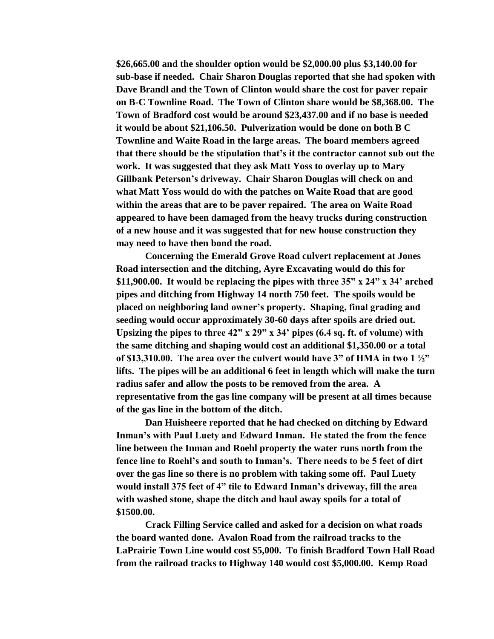**\$26,665.00 and the shoulder option would be \$2,000.00 plus \$3,140.00 for sub-base if needed. Chair Sharon Douglas reported that she had spoken with Dave Brandl and the Town of Clinton would share the cost for paver repair on B-C Townline Road. The Town of Clinton share would be \$8,368.00. The Town of Bradford cost would be around \$23,437.00 and if no base is needed it would be about \$21,106.50. Pulverization would be done on both B C Townline and Waite Road in the large areas. The board members agreed that there should be the stipulation that's it the contractor cannot sub out the work. It was suggested that they ask Matt Yoss to overlay up to Mary Gillbank Peterson's driveway. Chair Sharon Douglas will check on and what Matt Yoss would do with the patches on Waite Road that are good within the areas that are to be paver repaired. The area on Waite Road appeared to have been damaged from the heavy trucks during construction of a new house and it was suggested that for new house construction they may need to have then bond the road.**

**Concerning the Emerald Grove Road culvert replacement at Jones Road intersection and the ditching, Ayre Excavating would do this for \$11,900.00. It would be replacing the pipes with three 35" x 24" x 34' arched pipes and ditching from Highway 14 north 750 feet. The spoils would be placed on neighboring land owner's property. Shaping, final grading and seeding would occur approximately 30-60 days after spoils are dried out. Upsizing the pipes to three 42" x 29" x 34' pipes (6.4 sq. ft. of volume) with the same ditching and shaping would cost an additional \$1,350.00 or a total of \$13,310.00. The area over the culvert would have 3" of HMA in two 1 ½" lifts. The pipes will be an additional 6 feet in length which will make the turn radius safer and allow the posts to be removed from the area. A representative from the gas line company will be present at all times because of the gas line in the bottom of the ditch.**

**Dan Huisheere reported that he had checked on ditching by Edward Inman's with Paul Luety and Edward Inman. He stated the from the fence line between the Inman and Roehl property the water runs north from the fence line to Roehl's and south to Inman's. There needs to be 5 feet of dirt over the gas line so there is no problem with taking some off. Paul Luety would install 375 feet of 4" tile to Edward Inman's driveway, fill the area with washed stone, shape the ditch and haul away spoils for a total of \$1500.00.** 

**Crack Filling Service called and asked for a decision on what roads the board wanted done. Avalon Road from the railroad tracks to the LaPrairie Town Line would cost \$5,000. To finish Bradford Town Hall Road from the railroad tracks to Highway 140 would cost \$5,000.00. Kemp Road**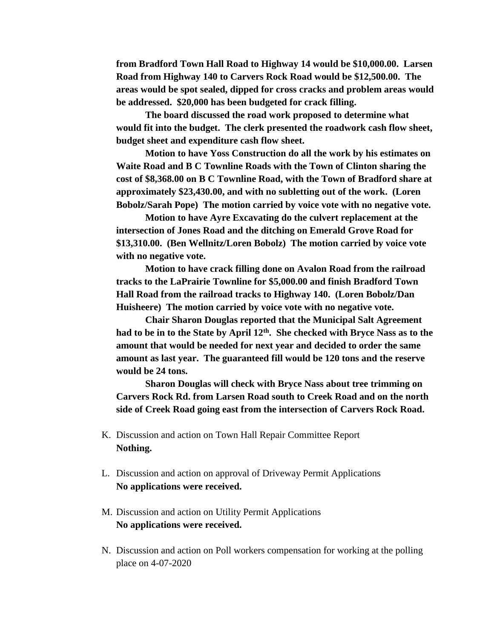**from Bradford Town Hall Road to Highway 14 would be \$10,000.00. Larsen Road from Highway 140 to Carvers Rock Road would be \$12,500.00. The areas would be spot sealed, dipped for cross cracks and problem areas would be addressed. \$20,000 has been budgeted for crack filling.**

**The board discussed the road work proposed to determine what would fit into the budget. The clerk presented the roadwork cash flow sheet, budget sheet and expenditure cash flow sheet.**

**Motion to have Yoss Construction do all the work by his estimates on Waite Road and B C Townline Roads with the Town of Clinton sharing the cost of \$8,368.00 on B C Townline Road, with the Town of Bradford share at approximately \$23,430.00, and with no subletting out of the work. (Loren Bobolz/Sarah Pope) The motion carried by voice vote with no negative vote.**

**Motion to have Ayre Excavating do the culvert replacement at the intersection of Jones Road and the ditching on Emerald Grove Road for \$13,310.00. (Ben Wellnitz/Loren Bobolz) The motion carried by voice vote with no negative vote.**

**Motion to have crack filling done on Avalon Road from the railroad tracks to the LaPrairie Townline for \$5,000.00 and finish Bradford Town Hall Road from the railroad tracks to Highway 140. (Loren Bobolz/Dan Huisheere) The motion carried by voice vote with no negative vote.**

**Chair Sharon Douglas reported that the Municipal Salt Agreement had to be in to the State by April 12th. She checked with Bryce Nass as to the amount that would be needed for next year and decided to order the same amount as last year. The guaranteed fill would be 120 tons and the reserve would be 24 tons.**

**Sharon Douglas will check with Bryce Nass about tree trimming on Carvers Rock Rd. from Larsen Road south to Creek Road and on the north side of Creek Road going east from the intersection of Carvers Rock Road.** 

- K. Discussion and action on Town Hall Repair Committee Report **Nothing.**
- L. Discussion and action on approval of Driveway Permit Applications **No applications were received.**
- M. Discussion and action on Utility Permit Applications **No applications were received.**
- N. Discussion and action on Poll workers compensation for working at the polling place on 4-07-2020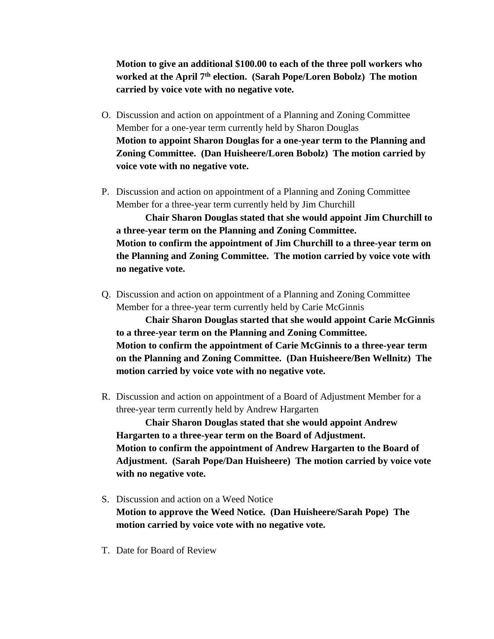**Motion to give an additional \$100.00 to each of the three poll workers who worked at the April 7th election. (Sarah Pope/Loren Bobolz) The motion carried by voice vote with no negative vote.**

- O. Discussion and action on appointment of a Planning and Zoning Committee Member for a one-year term currently held by Sharon Douglas **Motion to appoint Sharon Douglas for a one-year term to the Planning and Zoning Committee. (Dan Huisheere/Loren Bobolz) The motion carried by voice vote with no negative vote.**
- P. Discussion and action on appointment of a Planning and Zoning Committee Member for a three-year term currently held by Jim Churchill

**Chair Sharon Douglas stated that she would appoint Jim Churchill to a three-year term on the Planning and Zoning Committee. Motion to confirm the appointment of Jim Churchill to a three-year term on the Planning and Zoning Committee. The motion carried by voice vote with no negative vote.**

Q. Discussion and action on appointment of a Planning and Zoning Committee Member for a three-year term currently held by Carie McGinnis

**Chair Sharon Douglas started that she would appoint Carie McGinnis to a three-year term on the Planning and Zoning Committee. Motion to confirm the appointment of Carie McGinnis to a three-year term on the Planning and Zoning Committee. (Dan Huisheere/Ben Wellnitz) The motion carried by voice vote with no negative vote.**

R. Discussion and action on appointment of a Board of Adjustment Member for a three-year term currently held by Andrew Hargarten

**Chair Sharon Douglas stated that she would appoint Andrew Hargarten to a three-year term on the Board of Adjustment. Motion to confirm the appointment of Andrew Hargarten to the Board of Adjustment. (Sarah Pope/Dan Huisheere) The motion carried by voice vote with no negative vote.**

- S. Discussion and action on a Weed Notice **Motion to approve the Weed Notice. (Dan Huisheere/Sarah Pope) The motion carried by voice vote with no negative vote.**
- T. Date for Board of Review